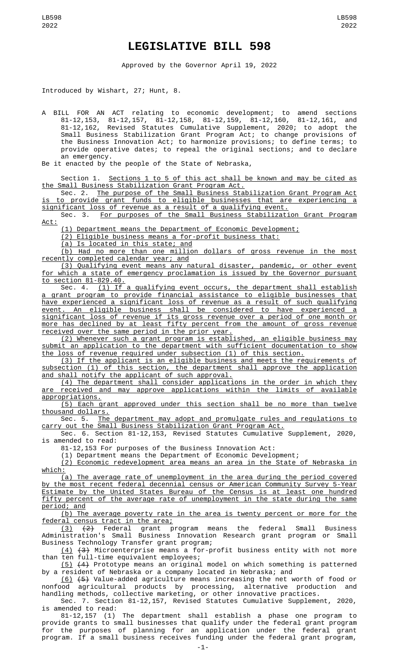## **LEGISLATIVE BILL 598**

Approved by the Governor April 19, 2022

Introduced by Wishart, 27; Hunt, 8.

A BILL FOR AN ACT relating to economic development; to amend sections 81-12,153, 81-12,157, 81-12,158, 81-12,159, 81-12,160, 81-12,161, and 81-12,162, Revised Statutes Cumulative Supplement, 2020; to adopt the Small Business Stabilization Grant Program Act; to change provisions of the Business Innovation Act; to harmonize provisions; to define terms; to provide operative dates; to repeal the original sections; and to declare an emergency.

Be it enacted by the people of the State of Nebraska,

Section 1. Sections 1 to 5 of this act shall be known and may be cited as the Small Business Stabilization Grant Program Act.

Sec. 2. The purpose of the Small Business Stabilization Grant Program Act is to provide grant funds to eligible businesses that are experiencing a significant loss of revenue as a result of a qualifying event.

Sec. 3. For purposes of the Small Business Stabilization Grant Program Act:

(1) Department means the Department of Economic Development;

(2) Eligible business means a for-profit business that:

(a) Is located in this state; and

(b) Had no more than one million dollars of gross revenue in the most recently completed calendar year; and

(3) Qualifying event means any natural disaster, pandemic, or other event for which a state of emergency proclamation is issued by the Governor pursuant to section 81-829.40.

Sec. 4. <u>(1) If a qualifying event occurs, the department shall establish</u> a grant program to provide financial assistance to eligible businesses that have experienced a significant loss of revenue as a result of such qualifying event. An eligible business shall be considered to have experienced a significant loss of revenue if its gross revenue over a period of one month or more has declined by at least fifty percent from the amount of gross revenue received over the same period in the prior year.

(2) Whenever such a grant program is established, an eligible business may submit an application to the department with sufficient documentation to show the loss of revenue required under subsection (1) of this section.

(3) If the applicant is an eligible business and meets the requirements of subsection (1) of this section, the department shall approve the application and shall notify the applicant of such approval.

(4) The department shall consider applications in the order in which they are received and may approve applications within the limits of available appropriations.

(5) Each grant approved under this section shall be no more than twelve thousand dollars.

Sec. 5. The department may adopt and promulgate rules and regulations to carry out the Small Business Stabilization Grant Program Act.

Sec. 6. Section 81-12,153, Revised Statutes Cumulative Supplement, 2020, is amended to read:

81-12,153 For purposes of the Business Innovation Act:

(1) Department means the Department of Economic Development;

(2) Economic redevelopment area means an area in the State of Nebraska in which:

(a) The average rate of unemployment in the area during the period covered by the most recent federal decennial census or American Community Survey 5-Year Estimate by the United States Bureau of the Census is at least one hundred fifty percent of the average rate of unemployment in the state during the same period; and

(b) The average poverty rate in the area is twenty percent or more for the

<u>federal census tract in the area;</u><br>(3) <del>(2)</del> Federal grant p grant program means the federal Small Business Administration's Small Business Innovation Research grant program or Small Business Technology Transfer grant program;

(4) (3) Microenterprise means a for-profit business entity with not more than ten full-time equivalent employees;

(5) (4) Prototype means an original model on which something is patterned by a resident of Nebraska or a company located in Nebraska; and

(6) (5) Value-added agriculture means increasing the net worth of food or nonfood agricultural products by processing, alternative production and handling methods, collective marketing, or other innovative practices.

Sec. 7. Section 81-12,157, Revised Statutes Cumulative Supplement, 2020, is amended to read:

81-12,157 (1) The department shall establish a phase one program to provide grants to small businesses that qualify under the federal grant program for the purposes of planning for an application under the federal grant program. If a small business receives funding under the federal grant program,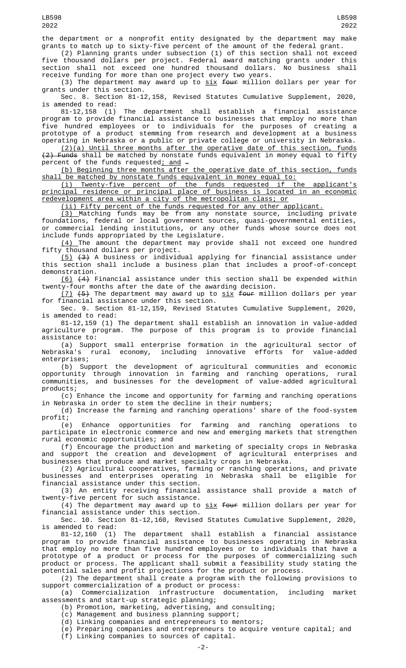the department or a nonprofit entity designated by the department may make grants to match up to sixty-five percent of the amount of the federal grant.

(2) Planning grants under subsection (1) of this section shall not exceed five thousand dollars per project. Federal award matching grants under this section shall not exceed one hundred thousand dollars. No business shall receive funding for more than one project every two years.

(3) The department may award up to  $six$  four million dollars per year for grants under this section.

Sec. 8. Section 81-12,158, Revised Statutes Cumulative Supplement, 2020, is amended to read:

81-12,158 (1) The department shall establish a financial assistance program to provide financial assistance to businesses that employ no more than five hundred employees or to individuals for the purposes of creating a prototype of a product stemming from research and development at a business operating in Nebraska or a public or private college or university in Nebraska.

 $(2)(a)$  Until three months after the operative date of this section, funds  $(2)$  Funds shall be matched by nonstate funds equivalent in money equal to fifty percent of the funds requested; and -

(b) Beginning three months after the operative date of this section, funds shall be matched by nonstate funds equivalent in money equal to:

(i) Twenty-five percent of the funds requested if the applicant's principal residence or principal place of business is located in an economic redevelopment area within a city of the metropolitan class; or

(ii) Fifty percent of the funds requested for any other applicant.

(3) Matching funds may be from any nonstate source, including private foundations, federal or local government sources, quasi-governmental entities, or commercial lending institutions, or any other funds whose source does not include funds appropriated by the Legislature.

(4) The amount the department may provide shall not exceed one hundred fifty thousand dollars per project.

<u>(5)</u> <del>(3)</del> A business or individual applying for financial assistance under this section shall include a business plan that includes a proof-of-concept demonstration.

(6) (4) Financial assistance under this section shall be expended within twenty-four months after the date of the awarding decision.

 $(7)$   $(5)$  The department may award up to  $\underline{\text{six}}$  four million dollars per year for financial assistance under this section.

Sec. 9. Section 81-12,159, Revised Statutes Cumulative Supplement, 2020, is amended to read:

81-12,159 (1) The department shall establish an innovation in value-added agriculture program. The purpose of this program is to provide financial assistance to:

(a) Support small enterprise formation in the agricultural sector of Nebraska's rural economy, including innovative efforts for value-added enterprises;

(b) Support the development of agricultural communities and economic opportunity through innovation in farming and ranching operations, rural communities, and businesses for the development of value-added agricultural products;

(c) Enhance the income and opportunity for farming and ranching operations in Nebraska in order to stem the decline in their numbers;

(d) Increase the farming and ranching operations' share of the food-system

profit;<br>(e) Enhance opportunities for farming and ranching operations to participate in electronic commerce and new and emerging markets that strengthen rural economic opportunities; and

(f) Encourage the production and marketing of specialty crops in Nebraska and support the creation and development of agricultural enterprises and businesses that produce and market specialty crops in Nebraska.

(2) Agricultural cooperatives, farming or ranching operations, and private businesses and enterprises operating in Nebraska shall be eligible for financial assistance under this section.

(3) An entity receiving financial assistance shall provide a match of twenty-five percent for such assistance.

(4) The department may award up to  $\underline{\text{six}}$  <del>four</del> million dollars per year for financial assistance under this section.

Sec. 10. Section 81-12,160, Revised Statutes Cumulative Supplement, 2020, is amended to read:<br>81-12,160 (1)

The department shall establish a financial assistance program to provide financial assistance to businesses operating in Nebraska that employ no more than five hundred employees or to individuals that have a prototype of a product or process for the purposes of commercializing such product or process. The applicant shall submit a feasibility study stating the potential sales and profit projections for the product or process.

(2) The department shall create a program with the following provisions to support commercialization of a product or process:

(a) Commercialization infrastructure documentation, including market assessments and start-up strategic planning;

(b) Promotion, marketing, advertising, and consulting;

(c) Management and business planning support;

(d) Linking companies and entrepreneurs to mentors;

(e) Preparing companies and entrepreneurs to acquire venture capital; and

(f) Linking companies to sources of capital.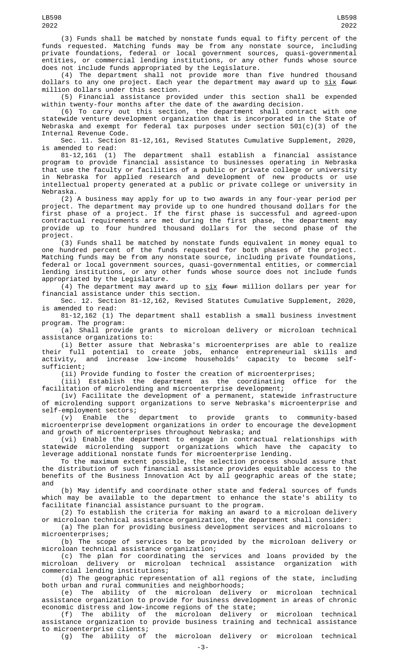(3) Funds shall be matched by nonstate funds equal to fifty percent of the funds requested. Matching funds may be from any nonstate source, including private foundations, federal or local government sources, quasi-governmental entities, or commercial lending institutions, or any other funds whose source does not include funds appropriated by the Legislature.

(4) The department shall not provide more than five hundred thousand dollars to any one project. Each year the department may award up to  $\frac{\text{six}}{\text{four}}$ million dollars under this section.

(5) Financial assistance provided under this section shall be expended within twenty-four months after the date of the awarding decision.

(6) To carry out this section, the department shall contract with one statewide venture development organization that is incorporated in the State of Nebraska and exempt for federal tax purposes under section  $501(c)(3)$  of the Internal Revenue Code.

Sec. 11. Section 81-12,161, Revised Statutes Cumulative Supplement, 2020, is amended to read:<br>81-12,161 (1)

The department shall establish a financial assistance program to provide financial assistance to businesses operating in Nebraska that use the faculty or facilities of a public or private college or university in Nebraska for applied research and development of new products or use intellectual property generated at a public or private college or university in Nebraska.

(2) A business may apply for up to two awards in any four-year period per project. The department may provide up to one hundred thousand dollars for the first phase of a project. If the first phase is successful and agreed-upon contractual requirements are met during the first phase, the department may provide up to four hundred thousand dollars for the second phase of the project.

(3) Funds shall be matched by nonstate funds equivalent in money equal to one hundred percent of the funds requested for both phases of the project. Matching funds may be from any nonstate source, including private foundations, federal or local government sources, quasi-governmental entities, or commercial lending institutions, or any other funds whose source does not include funds appropriated by the Legislature.

(4) The department may award up to  $six$  four million dollars per year for financial assistance under this section.

Sec. 12. Section 81-12,162, Revised Statutes Cumulative Supplement, 2020, is amended to read:

81-12,162 (1) The department shall establish a small business investment program. The program:

(a) Shall provide grants to microloan delivery or microloan technical assistance organizations to:

(i) Better assure that Nebraska's microenterprises are able to realize their full potential to create jobs, enhance entrepreneurial skills and activity, and increase low-income households' capacity to become selfsufficient;

(ii) Provide funding to foster the creation of microenterprises;

(iii) Establish the department as the coordinating office for the facilitation of microlending and microenterprise development;

(iv) Facilitate the development of a permanent, statewide infrastructure of microlending support organizations to serve Nebraska's microenterprise and self-employment sectors;<br>(v) Enable the department

(v) Enable the department to provide grants to community-based microenterprise development organizations in order to encourage the development and growth of microenterprises throughout Nebraska; and

(vi) Enable the department to engage in contractual relationships with statewide microlending support organizations which have the capacity to leverage additional nonstate funds for microenterprise lending.

To the maximum extent possible, the selection process should assure that the distribution of such financial assistance provides equitable access to the benefits of the Business Innovation Act by all geographic areas of the state; and

(b) May identify and coordinate other state and federal sources of funds which may be available to the department to enhance the state's ability to facilitate financial assistance pursuant to the program.

(2) To establish the criteria for making an award to a microloan delivery or microloan technical assistance organization, the department shall consider:

(a) The plan for providing business development services and microloans to microenterprises;

(b) The scope of services to be provided by the microloan delivery or microloan technical assistance organization;

(c) The plan for coordinating the services and loans provided by the microloan delivery or microloan technical assistance organization with commercial lending institutions;

(d) The geographic representation of all regions of the state, including both urban and rural communities and neighborhoods;

(e) The ability of the microloan delivery or microloan technical assistance organization to provide for business development in areas of chronic economic distress and low-income regions of the state;

(f) The ability of the microloan delivery or microloan technical assistance organization to provide business training and technical assistance to microenterprise clients;

(g) The ability of the microloan delivery or microloan technical